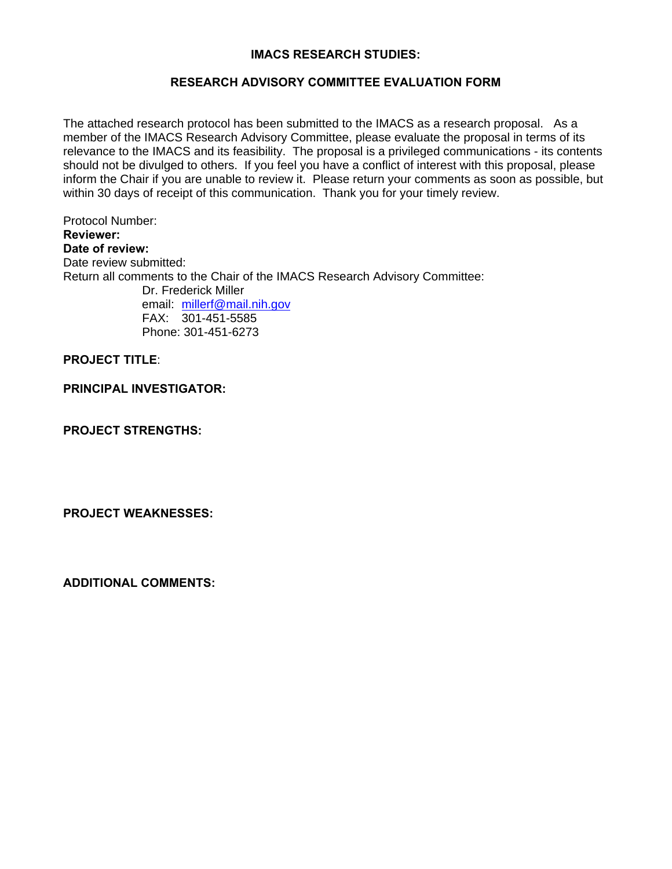## **IMACS RESEARCH STUDIES:**

## **RESEARCH ADVISORY COMMITTEE EVALUATION FORM**

The attached research protocol has been submitted to the IMACS as a research proposal. As a member of the IMACS Research Advisory Committee, please evaluate the proposal in terms of its relevance to the IMACS and its feasibility. The proposal is a privileged communications - its contents should not be divulged to others. If you feel you have a conflict of interest with this proposal, please inform the Chair if you are unable to review it. Please return your comments as soon as possible, but within 30 days of receipt of this communication. Thank you for your timely review.

 FAX: 301-451-5585 Protocol Number: **Reviewer: Date of review:**  Date review submitted: Return all comments to the Chair of the IMACS Research Advisory Committee: Dr. Frederick Miller email: millerf@mail.nih.gov Phone: 301-451-6273

## **PROJECT TITLE**:

**PRINCIPAL INVESTIGATOR:** 

**PROJECT STRENGTHS:** 

**PROJECT WEAKNESSES:** 

**ADDITIONAL COMMENTS:**